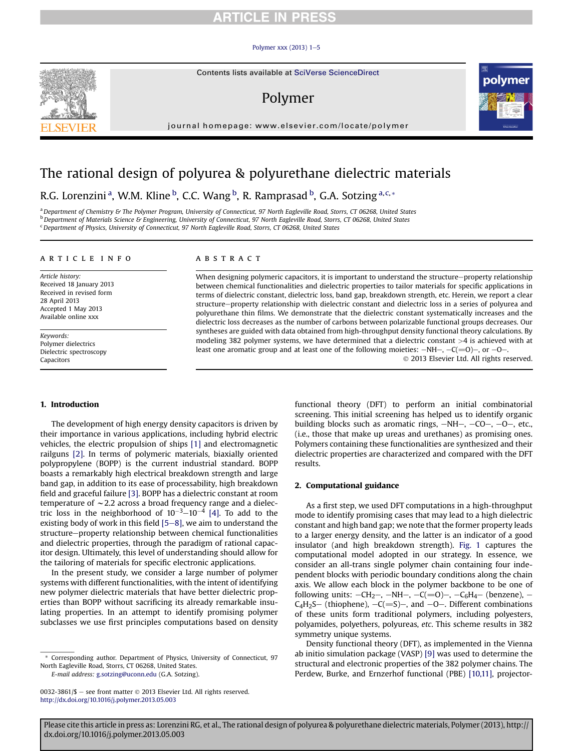# **RTICLE IN PRES**

#### Polymer xxx  $(2013)$  1-[5](http://dx.doi.org/10.1016/j.polymer.2013.05.003)

# Polymer

journal homepage: [www.elsevier.com/locate/polymer](http://www.elsevier.com/locate/polymer)



# The rational design of polyurea & polyurethane dielectric materials

R.G. Lorenzini<sup>a</sup>, W.M. Kline <sup>b</sup>, C.C. Wang <sup>b</sup>, R. Ramprasad <sup>b</sup>, G.A. Sotzing <sup>a, c,</sup> \*

a Department of Chemistry & The Polymer Program, University of Connecticut, 97 North Eagleville Road, Storrs, CT 06268, United States **b** Department of Materials Science & Engineering, University of Connecticut, 97 North Eagleville Road, Storrs, CT 06268, United States <sup>c</sup> Department of Physics, University of Connecticut, 97 North Eagleville Road, Storrs, CT 06268, United States

### article info

Article history: Received 18 January 2013 Received in revised form 28 April 2013 Accepted 1 May 2013 Available online xxx

Keywords: Polymer dielectrics Dielectric spectroscopy Capacitors

#### **ABSTRACT**

When designing polymeric capacitors, it is important to understand the structure-property relationship between chemical functionalities and dielectric properties to tailor materials for specific applications in terms of dielectric constant, dielectric loss, band gap, breakdown strength, etc. Herein, we report a clear structure-property relationship with dielectric constant and dielectric loss in a series of polyurea and polyurethane thin films. We demonstrate that the dielectric constant systematically increases and the dielectric loss decreases as the number of carbons between polarizable functional groups decreases. Our syntheses are guided with data obtained from high-throughput density functional theory calculations. By modeling 382 polymer systems, we have determined that a dielectric constant >4 is achieved with at least one aromatic group and at least one of the following moieties:  $-NH-$ ,  $-C(=0)$ , or  $-0-$ .

2013 Elsevier Ltd. All rights reserved.

## 1. Introduction

The development of high energy density capacitors is driven by their importance in various applications, including hybrid electric vehicles, the electric propulsion of ships [\[1\]](#page-4-0) and electromagnetic railguns [\[2\].](#page-4-0) In terms of polymeric materials, biaxially oriented polypropylene (BOPP) is the current industrial standard. BOPP boasts a remarkably high electrical breakdown strength and large band gap, in addition to its ease of processability, high breakdown field and graceful failure [\[3\]](#page-4-0). BOPP has a dielectric constant at room temperature of  $\sim$  2.2 across a broad frequency range and a dielectric loss in the neighborhood of  $10^{-3}$ – $10^{-4}$  [\[4\]](#page-4-0). To add to the existing body of work in this field  $[5-8]$  $[5-8]$  $[5-8]$ , we aim to understand the structure-property relationship between chemical functionalities and dielectric properties, through the paradigm of rational capacitor design. Ultimately, this level of understanding should allow for the tailoring of materials for specific electronic applications.

In the present study, we consider a large number of polymer systems with different functionalities, with the intent of identifying new polymer dielectric materials that have better dielectric properties than BOPP without sacrificing its already remarkable insulating properties. In an attempt to identify promising polymer subclasses we use first principles computations based on density

E-mail address: [g.sotzing@uconn.edu](mailto:g.sotzing@uconn.edu) (G.A. Sotzing).

functional theory (DFT) to perform an initial combinatorial screening. This initial screening has helped us to identify organic building blocks such as aromatic rings,  $-NH-$ ,  $-CO-$ ,  $-O-$ , etc., (i.e., those that make up ureas and urethanes) as promising ones. Polymers containing these functionalities are synthesized and their dielectric properties are characterized and compared with the DFT results.

## 2. Computational guidance

As a first step, we used DFT computations in a high-throughput mode to identify promising cases that may lead to a high dielectric constant and high band gap; we note that the former property leads to a larger energy density, and the latter is an indicator of a good insulator (and high breakdown strength). [Fig. 1](#page-1-0) captures the computational model adopted in our strategy. In essence, we consider an all-trans single polymer chain containing four independent blocks with periodic boundary conditions along the chain axis. We allow each block in the polymer backbone to be one of following units:  $-CH_2$ ,  $-NH$ ,  $-C(=0)$ ,  $-C_6H_4$  (benzene), - $C_4H_2S$  (thiophene),  $-C(=S)$ , and  $-0$ . Different combinations of these units form traditional polymers, including polyesters, polyamides, polyethers, polyureas, etc. This scheme results in 382 symmetry unique systems.

Density functional theory (DFT), as implemented in the Vienna ab initio simulation package (VASP) [\[9\]](#page-4-0) was used to determine the structural and electronic properties of the 382 polymer chains. The Perdew, Burke, and Ernzerhof functional (PBE) [\[10,11\],](#page-4-0) projector-



Corresponding author. Department of Physics, University of Connecticut, 97 North Eagleville Road, Storrs, CT 06268, United States.

<sup>0032-3861/\$ -</sup> see front matter  $\odot$  2013 Elsevier Ltd. All rights reserved. <http://dx.doi.org/10.1016/j.polymer.2013.05.003>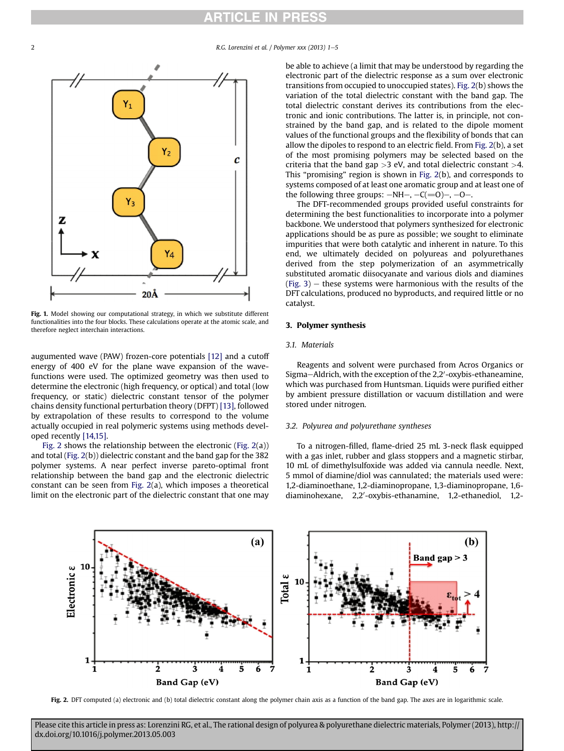# RTICLE IN PRESS

<span id="page-1-0"></span>2 R.G. Lorenzini et al. / Polymer xxx (2013) 1-5



Fig. 1. Model showing our computational strategy, in which we substitute different functionalities into the four blocks. These calculations operate at the atomic scale, and therefore neglect interchain interactions.

augumented wave (PAW) frozen-core potentials [\[12\]](#page-4-0) and a cutoff energy of 400 eV for the plane wave expansion of the wavefunctions were used. The optimized geometry was then used to determine the electronic (high frequency, or optical) and total (low frequency, or static) dielectric constant tensor of the polymer chains density functional perturbation theory (DFPT) [\[13\]](#page-4-0), followed by extrapolation of these results to correspond to the volume actually occupied in real polymeric systems using methods developed recently [\[14,15\]](#page-4-0).

Fig. 2 shows the relationship between the electronic (Fig. 2(a)) and total (Fig. 2(b)) dielectric constant and the band gap for the 382 polymer systems. A near perfect inverse pareto-optimal front relationship between the band gap and the electronic dielectric constant can be seen from Fig. 2(a), which imposes a theoretical limit on the electronic part of the dielectric constant that one may be able to achieve (a limit that may be understood by regarding the electronic part of the dielectric response as a sum over electronic transitions from occupied to unoccupied states). Fig. 2(b) shows the variation of the total dielectric constant with the band gap. The total dielectric constant derives its contributions from the electronic and ionic contributions. The latter is, in principle, not constrained by the band gap, and is related to the dipole moment values of the functional groups and the flexibility of bonds that can allow the dipoles to respond to an electric field. From Fig. 2(b), a set of the most promising polymers may be selected based on the criteria that the band gap  $>3$  eV, and total dielectric constant  $>4$ . This "promising" region is shown in Fig. 2(b), and corresponds to systems composed of at least one aromatic group and at least one of the following three groups:  $-NH-$ ,  $-C(=0)$ –,  $-0-$ .

The DFT-recommended groups provided useful constraints for determining the best functionalities to incorporate into a polymer backbone. We understood that polymers synthesized for electronic applications should be as pure as possible; we sought to eliminate impurities that were both catalytic and inherent in nature. To this end, we ultimately decided on polyureas and polyurethanes derived from the step polymerization of an asymmetrically substituted aromatic diisocyanate and various diols and diamines  $(Fig. 3)$  $(Fig. 3)$  $(Fig. 3)$  – these systems were harmonious with the results of the DFT calculations, produced no byproducts, and required little or no catalyst.

## 3. Polymer synthesis

### 3.1. Materials

Reagents and solvent were purchased from Acros Organics or Sigma–Aldrich, with the exception of the 2,2'-oxybis-ethaneamine, which was purchased from Huntsman. Liquids were purified either by ambient pressure distillation or vacuum distillation and were stored under nitrogen.

# 3.2. Polyurea and polyurethane syntheses

To a nitrogen-filled, flame-dried 25 mL 3-neck flask equipped with a gas inlet, rubber and glass stoppers and a magnetic stirbar, 10 mL of dimethylsulfoxide was added via cannula needle. Next, 5 mmol of diamine/diol was cannulated; the materials used were: 1,2-diaminoethane, 1,2-diaminopropane, 1,3-diaminopropane, 1,6 diaminohexane, 2,2'-oxybis-ethanamine, 1,2-ethanediol, 1,2-



Fig. 2. DFT computed (a) electronic and (b) total dielectric constant along the polymer chain axis as a function of the band gap. The axes are in logarithmic scale.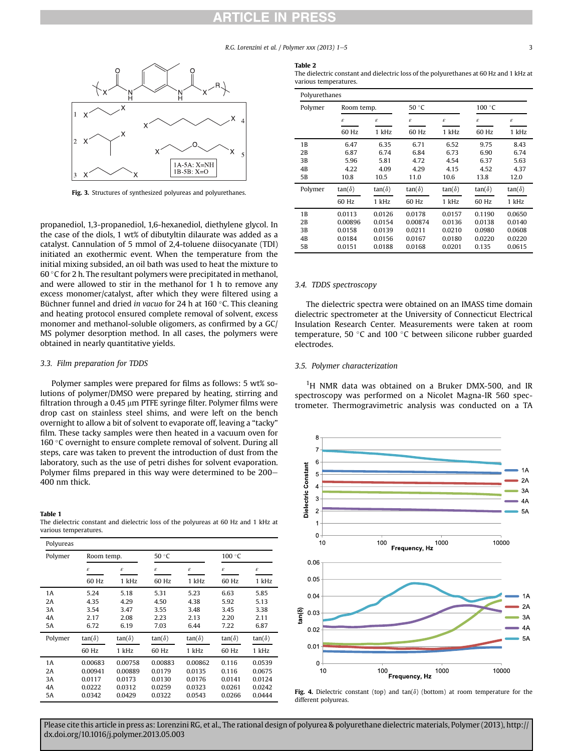# CL

R.G. Lorenzini et al.  $/$  Polymer xxx (2013)  $1-5$  3

<span id="page-2-0"></span>

Fig. 3. Structures of synthesized polyureas and polyurethanes.

propanediol, 1,3-propanediol, 1,6-hexanediol, diethylene glycol. In the case of the diols, 1 wt% of dibutyltin dilaurate was added as a catalyst. Cannulation of 5 mmol of 2,4-toluene diisocyanate (TDI) initiated an exothermic event. When the temperature from the initial mixing subsided, an oil bath was used to heat the mixture to 60  $\degree$ C for 2 h. The resultant polymers were precipitated in methanol, and were allowed to stir in the methanol for 1 h to remove any excess monomer/catalyst, after which they were filtered using a Büchner funnel and dried in vacuo for 24 h at 160 $\degree$ C. This cleaning and heating protocol ensured complete removal of solvent, excess monomer and methanol-soluble oligomers, as confirmed by a GC/ MS polymer desorption method. In all cases, the polymers were obtained in nearly quantitative yields.

### 3.3. Film preparation for TDDS

Polymer samples were prepared for films as follows: 5 wt% solutions of polymer/DMSO were prepared by heating, stirring and filtration through a 0.45  $\mu$ m PTFE syringe filter. Polymer films were drop cast on stainless steel shims, and were left on the bench overnight to allow a bit of solvent to evaporate off, leaving a "tacky" film. These tacky samples were then heated in a vacuum oven for 160 °C overnight to ensure complete removal of solvent. During all steps, care was taken to prevent the introduction of dust from the laboratory, such as the use of petri dishes for solvent evaporation. Polymer films prepared in this way were determined to be 200– 400 nm thick.

### Table 1

| The dielectric constant and dielectric loss of the polyureas at 60 Hz and 1 kHz at |  |  |  |  |  |
|------------------------------------------------------------------------------------|--|--|--|--|--|
| various temperatures.                                                              |  |  |  |  |  |

| Polyureas |               |               |               |                     |                     |               |
|-----------|---------------|---------------|---------------|---------------------|---------------------|---------------|
| Polymer   | Room temp.    |               | 50 °C         |                     | 100 °C              |               |
|           | $\epsilon$    | ε             | ε             | $\pmb{\varepsilon}$ | $\pmb{\varepsilon}$ | ε             |
|           | 60 Hz         | 1 kHz         | 60 Hz         | 1 kHz               | 60 Hz               | 1 kHz         |
| 1A        | 5.24          | 5.18          | 5.31          | 5.23                | 6.63                | 5.85          |
| 2Α        | 4.35          | 4.29          | 4.50          | 4.38                | 5.92                | 5.13          |
| 3A        | 3.54          | 3.47          | 3.55          | 3.48                | 3.45                | 3.38          |
| 4A        | 2.17          | 2.08          | 2.23          | 2.13                | 2.20                | 2.11          |
| 5A        | 6.72          | 6.19          | 7.03          | 6.44                | 7.22                | 6.87          |
| Polymer   | $tan(\delta)$ | $tan(\delta)$ | $tan(\delta)$ | $tan(\delta)$       | $tan(\delta)$       | $tan(\delta)$ |
|           | 60 Hz         | 1 kHz         | 60 Hz         | 1 kHz               | 60 Hz               | 1 kHz         |
| 1A        | 0.00683       | 0.00758       | 0.00883       | 0.00862             | 0.116               | 0.0539        |
| 2Α        | 0.00941       | 0.00889       | 0.0179        | 0.0135              | 0.116               | 0.0675        |
| 3A        | 0.0117        | 0.0173        | 0.0130        | 0.0176              | 0.0141              | 0.0124        |
| 4Α        | 0.0222        | 0.0312        | 0.0259        | 0.0323              | 0.0261              | 0.0242        |
| 5Α        | 0.0342        | 0.0429        | 0.0322        | 0.0543              | 0.0266              | 0.0444        |

#### Table 2

The dielectric constant and dielectric loss of the polyurethanes at 60 Hz and 1 kHz at various temperatures.

| Polyurethanes |               |                     |                            |               |                            |               |
|---------------|---------------|---------------------|----------------------------|---------------|----------------------------|---------------|
| Polymer       |               | 50 °C<br>Room temp. |                            | 100 °C        |                            |               |
|               | ε             | ε                   | $\boldsymbol{\varepsilon}$ | ε             | $\boldsymbol{\varepsilon}$ | ε             |
|               | 60 Hz         | 1 kHz               | 60 Hz                      | 1 kHz         | 60 Hz                      | 1 kHz         |
| 1B            | 6.47          | 6.35                | 6.71                       | 6.52          | 9.75                       | 8.43          |
| 2B            | 6.87          | 6.74                | 6.84                       | 6.73          | 6.90                       | 6.74          |
| 3B            | 5.96          | 5.81                | 4.72                       | 4.54          | 6.37                       | 5.63          |
| 4B            | 4.22          | 4.09                | 4.29                       | 4.15          | 4.52                       | 4.37          |
| 5B            | 10.8          | 10.5                | 11.0                       | 10.6          | 13.8                       | 12.0          |
| Polymer       | $tan(\delta)$ | $tan(\delta)$       | $tan(\delta)$              | $tan(\delta)$ | $tan(\delta)$              | $tan(\delta)$ |
|               | 60 Hz         | 1 kHz               | 60 Hz                      | 1 kHz         | 60 Hz                      | 1 kHz         |
| 1B            | 0.0113        | 0.0126              | 0.0178                     | 0.0157        | 0.1190                     | 0.0650        |
| 2B            | 0.00896       | 0.0154              | 0.00874                    | 0.0136        | 0.0138                     | 0.0140        |
| 3B            | 0.0158        | 0.0139              | 0.0211                     | 0.0210        | 0.0980                     | 0.0608        |
| 4B            | 0.0184        | 0.0156              | 0.0167                     | 0.0180        | 0.0220                     | 0.0220        |
| 5В            | 0.0151        | 0.0188              | 0.0168                     | 0.0201        | 0.135                      | 0.0615        |

### 3.4. TDDS spectroscopy

The dielectric spectra were obtained on an IMASS time domain dielectric spectrometer at the University of Connecticut Electrical Insulation Research Center. Measurements were taken at room temperature, 50 $\degree$ C and 100 $\degree$ C between silicone rubber guarded electrodes.

## 3.5. Polymer characterization

<sup>1</sup>H NMR data was obtained on a Bruker DMX-500, and IR spectroscopy was performed on a Nicolet Magna-IR 560 spectrometer. Thermogravimetric analysis was conducted on a TA



Fig. 4. Dielectric constant (top) and tan( $\delta$ ) (bottom) at room temperature for the different polyureas.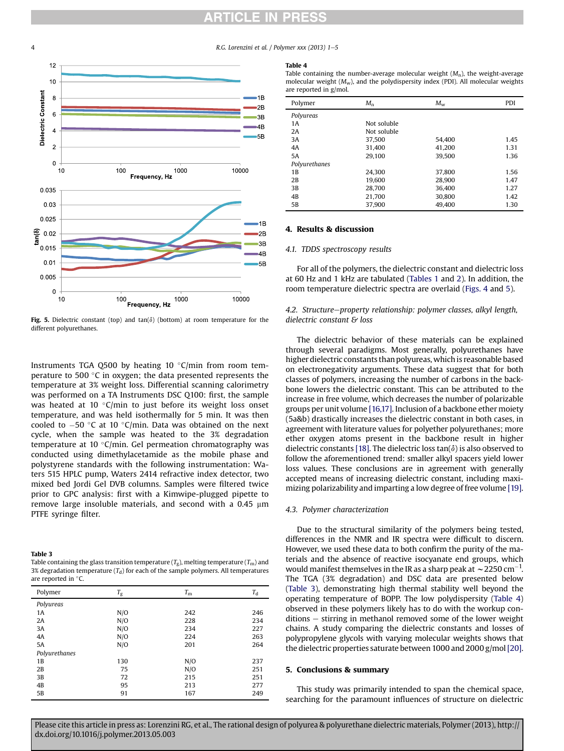# RTICLE IN PR

4 R.G. Lorenzini et al. / Polymer xxx (2013) 1-5



Fig. 5. Dielectric constant (top) and tan( $\delta$ ) (bottom) at room temperature for the different polyurethanes.

Instruments TGA Q500 by heating 10  $\degree$ C/min from room temperature to 500 $\degree$ C in oxygen; the data presented represents the temperature at 3% weight loss. Differential scanning calorimetry was performed on a TA Instruments DSC Q100: first, the sample was heated at 10  $\degree$ C/min to just before its weight loss onset temperature, and was held isothermally for 5 min. It was then cooled to  $-50$  °C at 10 °C/min. Data was obtained on the next cycle, when the sample was heated to the 3% degradation temperature at 10  $\degree$ C/min. Gel permeation chromatography was conducted using dimethylacetamide as the mobile phase and polystyrene standards with the following instrumentation: Waters 515 HPLC pump, Waters 2414 refractive index detector, two mixed bed Jordi Gel DVB columns. Samples were filtered twice prior to GPC analysis: first with a Kimwipe-plugged pipette to remove large insoluble materials, and second with a  $0.45 \mu m$ PTFE syringe filter.

#### Table 3

| Table containing the glass transition temperature $(T_{\sigma})$ , melting temperature $(T_{\rm m})$ and |
|----------------------------------------------------------------------------------------------------------|
| 3% degradation temperature $(T_d)$ for each of the sample polymers. All temperatures                     |
| are reported in $\degree$ C.                                                                             |

| Polymer       | $T_{\rm g}$ | $T_{\rm m}$ | $T_{d}$ |
|---------------|-------------|-------------|---------|
| Polyureas     |             |             |         |
| 1A            | N/O         | 242         | 246     |
| 2A            | N/O         | 228         | 234     |
| 3A            | N/O         | 234         | 227     |
| 4A            | N/O         | 224         | 263     |
| <b>5A</b>     | N/O         | 201         | 264     |
| Polyurethanes |             |             |         |
| 1B            | 130         | N/O         | 237     |
| 2B            | 75          | N/O         | 251     |
| 3B            | 72          | 215         | 251     |
| 4B            | 95          | 213         | 277     |
| 5B            | 91          | 167         | 249     |
|               |             |             |         |

#### Table 4

Table containing the number-average molecular weight  $(M_n)$ , the weight-average molecular weight  $(M_w)$ , and the polydispersity index (PDI). All molecular weights are reported in g/mol.

| Polymer       | $M_{\rm n}$ | $M_{\rm w}$ | <b>PDI</b> |
|---------------|-------------|-------------|------------|
| Polyureas     |             |             |            |
| 1 A           | Not soluble |             |            |
| 2A            | Not soluble |             |            |
| 3A            | 37,500      | 54.400      | 1.45       |
| 4A            | 31.400      | 41,200      | 1.31       |
| 5A            | 29.100      | 39.500      | 1.36       |
| Polyurethanes |             |             |            |
| 1B            | 24.300      | 37.800      | 1.56       |
| 2B            | 19.600      | 28.900      | 1.47       |
| 3B            | 28,700      | 36.400      | 1.27       |
| 4B            | 21.700      | 30.800      | 1.42       |
| 5B            | 37.900      | 49.400      | 1.30       |

## 4. Results & discussion

### 4.1. TDDS spectroscopy results

For all of the polymers, the dielectric constant and dielectric loss at 60 Hz and 1 kHz are tabulated ([Tables 1](#page-2-0) and [2](#page-2-0)). In addition, the room temperature dielectric spectra are overlaid [\(Figs. 4](#page-2-0) and 5).

# 4.2. Structure-property relationship: polymer classes, alkyl length, dielectric constant & loss

The dielectric behavior of these materials can be explained through several paradigms. Most generally, polyurethanes have higher dielectric constants than polyureas, which is reasonable based on electronegativity arguments. These data suggest that for both classes of polymers, increasing the number of carbons in the backbone lowers the dielectric constant. This can be attributed to the increase in free volume, which decreases the number of polarizable groups per unit volume [\[16,17\]](#page-4-0). Inclusion of a backbone ether moiety (5a&b) drastically increases the dielectric constant in both cases, in agreement with literature values for polyether polyurethanes; more ether oxygen atoms present in the backbone result in higher dielectric constants [\[18\]](#page-4-0). The dielectric loss tan( $\delta$ ) is also observed to follow the aforementioned trend: smaller alkyl spacers yield lower loss values. These conclusions are in agreement with generally accepted means of increasing dielectric constant, including maximizing polarizability and imparting a low degree of free volume [\[19\].](#page-4-0)

### 4.3. Polymer characterization

Due to the structural similarity of the polymers being tested, differences in the NMR and IR spectra were difficult to discern. However, we used these data to both confirm the purity of the materials and the absence of reactive isocyanate end groups, which would manifest themselves in the IR as a sharp peak at  $\sim$  2250 cm<sup>-1</sup>. The TGA (3% degradation) and DSC data are presented below (Table 3), demonstrating high thermal stability well beyond the operating temperature of BOPP. The low polydispersity (Table 4) observed in these polymers likely has to do with the workup con $ditions - stirring in methanol removed some of the lower weight$ chains. A study comparing the dielectric constants and losses of polypropylene glycols with varying molecular weights shows that the dielectric properties saturate between 1000 and 2000 g/mol[\[20\].](#page-4-0)

## 5. Conclusions & summary

This study was primarily intended to span the chemical space, searching for the paramount influences of structure on dielectric